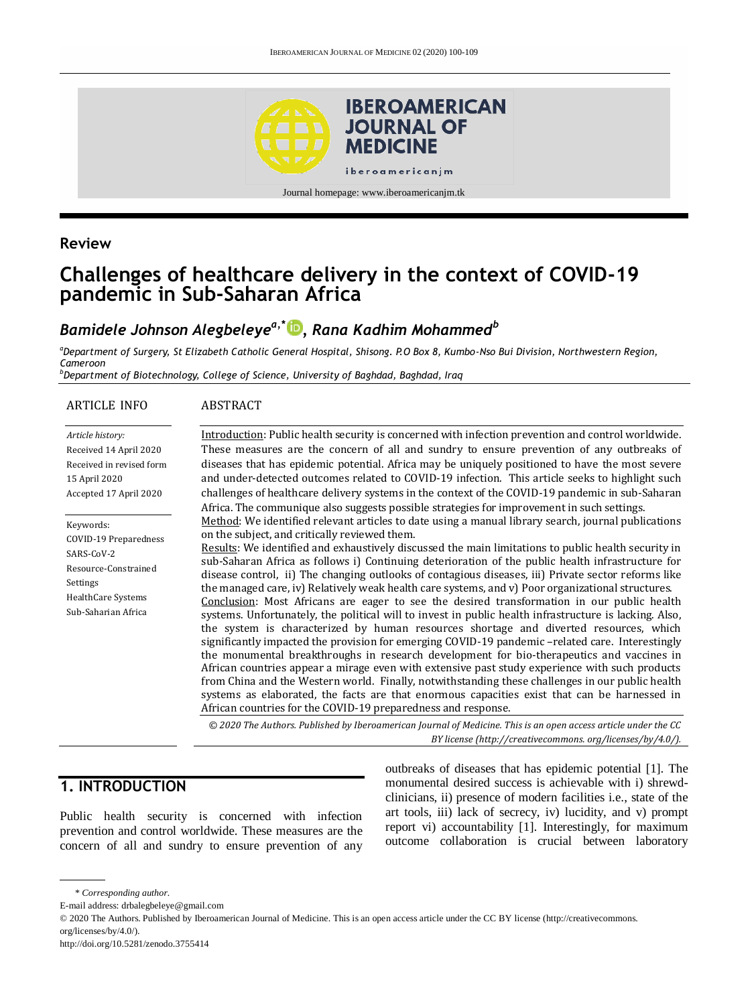

# **Review**

# **Challenges of healthcare delivery in the context of COVID-19 pandemic in Sub-Saharan Africa**

# *Bamidele Johnson Alegbeleyea,\* [,](http://orcid.org/0000-0001-7440-1032) Rana Kadhim Mohammed<sup>b</sup>*

*<sup>a</sup>Department of Surgery, St Elizabeth Catholic General Hospital, Shisong. P.O Box 8, Kumbo-Nso Bui Division, Northwestern Region, Cameroon*

*<sup>b</sup>Department of Biotechnology, College of Science, University of Baghdad, Baghdad, Iraq*

| <b>ARTICLE INFO</b>                                                                                                                | <b>ABSTRACT</b>                                                                                                                                                                                                                                                                                                                                                                                                                                                                                                                                                                                                                                                                                                                                                                                                                                                                                                                                                                                                                                                                                                                                                                                                                                                                                                                                                                                                                                                                                                                                                                                                                                                                                                                                                                                                                                                                                                                                                                                                                                                  |
|------------------------------------------------------------------------------------------------------------------------------------|------------------------------------------------------------------------------------------------------------------------------------------------------------------------------------------------------------------------------------------------------------------------------------------------------------------------------------------------------------------------------------------------------------------------------------------------------------------------------------------------------------------------------------------------------------------------------------------------------------------------------------------------------------------------------------------------------------------------------------------------------------------------------------------------------------------------------------------------------------------------------------------------------------------------------------------------------------------------------------------------------------------------------------------------------------------------------------------------------------------------------------------------------------------------------------------------------------------------------------------------------------------------------------------------------------------------------------------------------------------------------------------------------------------------------------------------------------------------------------------------------------------------------------------------------------------------------------------------------------------------------------------------------------------------------------------------------------------------------------------------------------------------------------------------------------------------------------------------------------------------------------------------------------------------------------------------------------------------------------------------------------------------------------------------------------------|
| Article history:<br>Received 14 April 2020<br>Received in revised form<br>15 April 2020<br>Accepted 17 April 2020                  | Introduction: Public health security is concerned with infection prevention and control worldwide.<br>These measures are the concern of all and sundry to ensure prevention of any outbreaks of<br>diseases that has epidemic potential. Africa may be uniquely positioned to have the most severe<br>and under-detected outcomes related to COVID-19 infection. This article seeks to highlight such<br>challenges of healthcare delivery systems in the context of the COVID-19 pandemic in sub-Saharan<br>Africa. The communique also suggests possible strategies for improvement in such settings.<br>Method: We identified relevant articles to date using a manual library search, journal publications<br>on the subject, and critically reviewed them.<br>Results: We identified and exhaustively discussed the main limitations to public health security in<br>sub-Saharan Africa as follows i) Continuing deterioration of the public health infrastructure for<br>disease control, ii) The changing outlooks of contagious diseases, iii) Private sector reforms like<br>the managed care, iv) Relatively weak health care systems, and v) Poor organizational structures.<br>Conclusion: Most Africans are eager to see the desired transformation in our public health<br>systems. Unfortunately, the political will to invest in public health infrastructure is lacking. Also,<br>the system is characterized by human resources shortage and diverted resources, which<br>significantly impacted the provision for emerging COVID-19 pandemic -related care. Interestingly<br>the monumental breakthroughs in research development for bio-therapeutics and vaccines in<br>African countries appear a mirage even with extensive past study experience with such products<br>from China and the Western world. Finally, notwithstanding these challenges in our public health<br>systems as elaborated, the facts are that enormous capacities exist that can be harnessed in<br>African countries for the COVID-19 preparedness and response. |
| Keywords:<br>COVID-19 Preparedness<br>SARS-CoV-2<br>Resource-Constrained<br>Settings<br>Health Care Systems<br>Sub-Saharian Africa |                                                                                                                                                                                                                                                                                                                                                                                                                                                                                                                                                                                                                                                                                                                                                                                                                                                                                                                                                                                                                                                                                                                                                                                                                                                                                                                                                                                                                                                                                                                                                                                                                                                                                                                                                                                                                                                                                                                                                                                                                                                                  |
|                                                                                                                                    | © 2020 The Authors. Published by Iberoamerican Journal of Medicine. This is an open access article under the CC<br>BY license (http://creativecommons.org/licenses/by/4.0/).                                                                                                                                                                                                                                                                                                                                                                                                                                                                                                                                                                                                                                                                                                                                                                                                                                                                                                                                                                                                                                                                                                                                                                                                                                                                                                                                                                                                                                                                                                                                                                                                                                                                                                                                                                                                                                                                                     |

# **1. INTRODUCTION**

Public health security is concerned with infection prevention and control worldwide. These measures are the concern of all and sundry to ensure prevention of any

outbreaks of diseases that has epidemic potential [1]. The monumental desired success is achievable with i) shrewdclinicians, ii) presence of modern facilities i.e., state of the art tools, iii) lack of secrecy, iv) lucidity, and v) prompt report vi) accountability [1]. Interestingly, for maximum outcome collaboration is crucial between laboratory

<sup>\*</sup> *Corresponding author.*

E-mail address: drbalegbeleye@gmail.com

<sup>© 2020</sup> The Authors. Published by Iberoamerican Journal of Medicine. This is an open access article under the CC BY license (http://creativecommons. org/licenses/by/4.0/).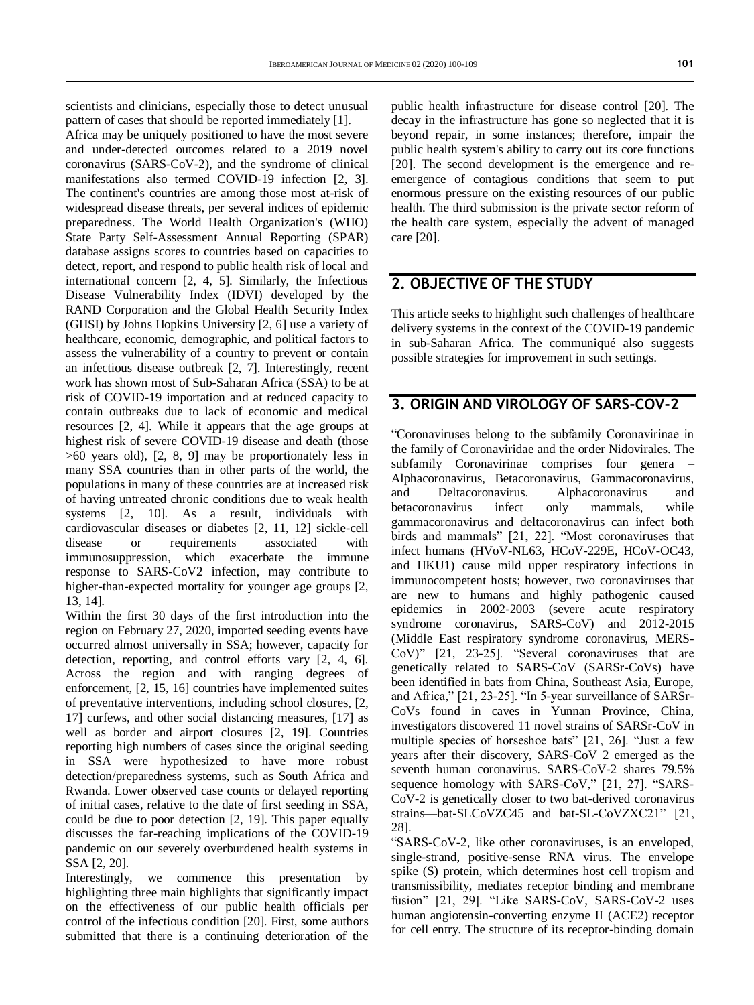scientists and clinicians, especially those to detect unusual pattern of cases that should be reported immediately [1].

Africa may be uniquely positioned to have the most severe and under-detected outcomes related to a 2019 novel coronavirus (SARS-CoV-2), and the syndrome of clinical manifestations also termed COVID-19 infection [2, 3]. The continent's countries are among those most at-risk of widespread disease threats, per several indices of epidemic preparedness. The World Health Organization's (WHO) State Party Self-Assessment Annual Reporting (SPAR) database assigns scores to countries based on capacities to detect, report, and respond to public health risk of local and international concern [2, 4, 5]. Similarly, the Infectious Disease Vulnerability Index (IDVI) developed by the RAND Corporation and the Global Health Security Index (GHSI) by Johns Hopkins University [2, 6] use a variety of healthcare, economic, demographic, and political factors to assess the vulnerability of a country to prevent or contain an infectious disease outbreak [2, 7]. Interestingly, recent work has shown most of Sub-Saharan Africa (SSA) to be at risk of COVID-19 importation and at reduced capacity to contain outbreaks due to lack of economic and medical resources [2, 4]. While it appears that the age groups at highest risk of severe COVID-19 disease and death (those >60 years old), [2, 8, 9] may be proportionately less in many SSA countries than in other parts of the world, the populations in many of these countries are at increased risk of having untreated chronic conditions due to weak health systems [2, 10]. As a result, individuals with cardiovascular diseases or diabetes [2, 11, 12] sickle-cell disease or requirements associated with immunosuppression, which exacerbate the immune response to SARS-CoV2 infection, may contribute to higher-than-expected mortality for younger age groups [2, 13, 14].

Within the first 30 days of the first introduction into the region on February 27, 2020, imported seeding events have occurred almost universally in SSA; however, capacity for detection, reporting, and control efforts vary [2, 4, 6]. Across the region and with ranging degrees of enforcement, [2, 15, 16] countries have implemented suites of preventative interventions, including school closures, [2, 17] curfews, and other social distancing measures, [17] as well as border and airport closures [2, 19]. Countries reporting high numbers of cases since the original seeding in SSA were hypothesized to have more robust detection/preparedness systems, such as South Africa and Rwanda. Lower observed case counts or delayed reporting of initial cases, relative to the date of first seeding in SSA, could be due to poor detection [2, 19]. This paper equally discusses the far-reaching implications of the COVID-19 pandemic on our severely overburdened health systems in SSA [2, 20].

Interestingly, we commence this presentation by highlighting three main highlights that significantly impact on the effectiveness of our public health officials per control of the infectious condition [20]. First, some authors submitted that there is a continuing deterioration of the

public health infrastructure for disease control [20]. The decay in the infrastructure has gone so neglected that it is beyond repair, in some instances; therefore, impair the public health system's ability to carry out its core functions [20]. The second development is the emergence and reemergence of contagious conditions that seem to put enormous pressure on the existing resources of our public health. The third submission is the private sector reform of the health care system, especially the advent of managed care [20].

### **2. OBJECTIVE OF THE STUDY**

This article seeks to highlight such challenges of healthcare delivery systems in the context of the COVID-19 pandemic in sub-Saharan Africa. The communiqué also suggests possible strategies for improvement in such settings.

### **3. ORIGIN AND VIROLOGY OF SARS-COV-2**

"Coronaviruses belong to the subfamily Coronavirinae in the family of Coronaviridae and the order Nidovirales. The subfamily Coronavirinae comprises four genera – Alphacoronavirus, Betacoronavirus, Gammacoronavirus, and Deltacoronavirus. Alphacoronavirus and betacoronavirus infect only mammals, while gammacoronavirus and deltacoronavirus can infect both birds and mammals" [21, 22]. "Most coronaviruses that infect humans (HVoV-NL63, HCoV-229E, HCoV-OC43, and HKU1) cause mild upper respiratory infections in immunocompetent hosts; however, two coronaviruses that are new to humans and highly pathogenic caused epidemics in 2002-2003 (severe acute respiratory syndrome coronavirus, SARS-CoV) and 2012-2015 (Middle East respiratory syndrome coronavirus, MERS-CoV)" [21, 23-25]. "Several coronaviruses that are genetically related to SARS-CoV (SARSr-CoVs) have been identified in bats from China, Southeast Asia, Europe, and Africa," [21, 23-25]. "In 5-year surveillance of SARSr-CoVs found in caves in Yunnan Province, China, investigators discovered 11 novel strains of SARSr-CoV in multiple species of horseshoe bats" [21, 26]. "Just a few years after their discovery, SARS-CoV 2 emerged as the seventh human coronavirus. SARS-CoV-2 shares 79.5% sequence homology with SARS-CoV," [21, 27]. "SARS-CoV-2 is genetically closer to two bat-derived coronavirus strains—bat-SLCoVZC45 and bat-SL-CoVZXC21" [21, 28].

"SARS-CoV-2, like other coronaviruses, is an enveloped, single-strand, positive-sense RNA virus. The envelope spike (S) protein, which determines host cell tropism and transmissibility, mediates receptor binding and membrane fusion" [21, 29]. "Like SARS-CoV, SARS-CoV-2 uses human angiotensin-converting enzyme II (ACE2) receptor for cell entry. The structure of its receptor-binding domain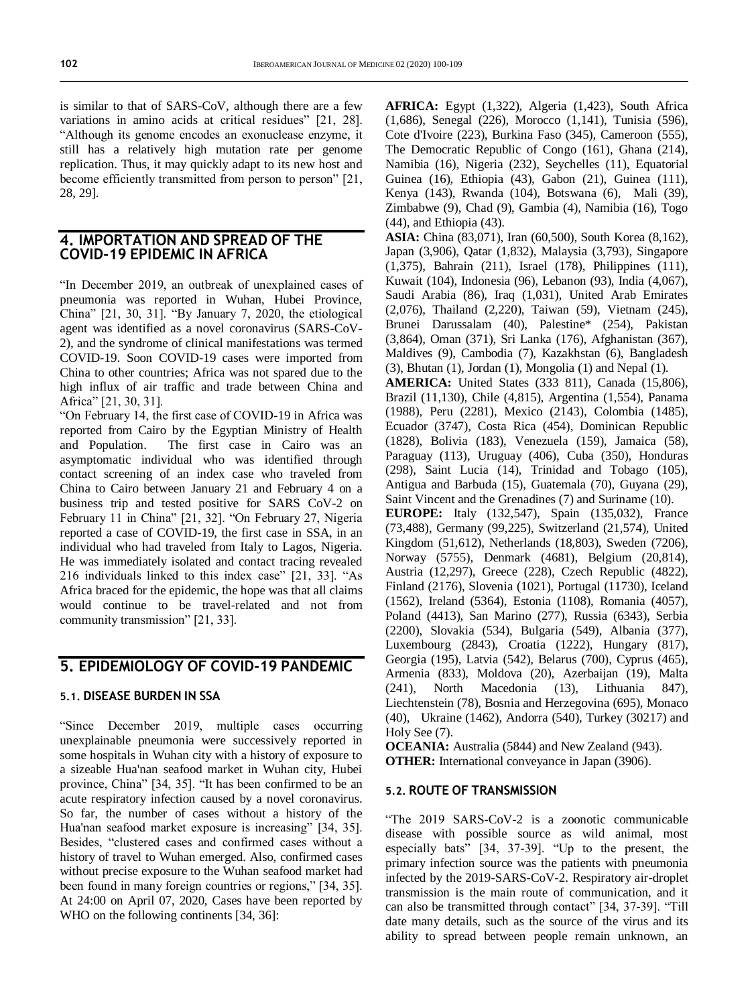is similar to that of SARS-CoV, although there are a few variations in amino acids at critical residues" [21, 28]. "Although its genome encodes an exonuclease enzyme, it still has a relatively high mutation rate per genome replication. Thus, it may quickly adapt to its new host and become efficiently transmitted from person to person" [21, 28, 29].

#### **4. IMPORTATION AND SPREAD OF THE COVID-19 EPIDEMIC IN AFRICA**

"In December 2019, an outbreak of unexplained cases of pneumonia was reported in Wuhan, Hubei Province, China" [21, 30, 31]. "By January 7, 2020, the etiological agent was identified as a novel coronavirus (SARS-CoV-2), and the syndrome of clinical manifestations was termed COVID-19. Soon COVID-19 cases were imported from China to other countries; Africa was not spared due to the high influx of air traffic and trade between China and Africa" [21, 30, 31].

"On February 14, the first case of COVID-19 in Africa was reported from Cairo by the Egyptian Ministry of Health and Population. The first case in Cairo was an asymptomatic individual who was identified through contact screening of an index case who traveled from China to Cairo between January 21 and February 4 on a business trip and tested positive for SARS CoV-2 on February 11 in China" [21, 32]. "On February 27, Nigeria reported a case of COVID-19, the first case in SSA, in an individual who had traveled from Italy to Lagos, Nigeria. He was immediately isolated and contact tracing revealed 216 individuals linked to this index case" [21, 33]. "As Africa braced for the epidemic, the hope was that all claims would continue to be travel-related and not from community transmission" [21, 33].

## **5. EPIDEMIOLOGY OF COVID-19 PANDEMIC**

#### **5.1. DISEASE BURDEN IN SSA**

"Since December 2019, multiple cases occurring unexplainable pneumonia were successively reported in some hospitals in Wuhan city with a history of exposure to a sizeable Hua'nan seafood market in Wuhan city, Hubei province, China" [34, 35]. "It has been confirmed to be an acute respiratory infection caused by a novel coronavirus. So far, the number of cases without a history of the Hua'nan seafood market exposure is increasing" [34, 35]. Besides, "clustered cases and confirmed cases without a history of travel to Wuhan emerged. Also, confirmed cases without precise exposure to the Wuhan seafood market had been found in many foreign countries or regions," [34, 35]. At 24:00 on April 07, 2020, Cases have been reported by WHO on the following continents [34, 36]:

**AFRICA:** Egypt (1,322), Algeria (1,423), South Africa (1,686), Senegal (226), Morocco (1,141), Tunisia (596), Cote d'Ivoire (223), Burkina Faso (345), Cameroon (555), The Democratic Republic of Congo (161), Ghana (214), Namibia (16), Nigeria (232), Seychelles (11), Equatorial Guinea (16), Ethiopia (43), Gabon (21), Guinea (111), Kenya (143), Rwanda (104), Botswana (6), Mali (39), Zimbabwe (9), Chad (9), Gambia (4), Namibia (16), Togo (44), and Ethiopia (43).

**ASIA:** China (83,071), Iran (60,500), South Korea (8,162), Japan (3,906), Qatar (1,832), Malaysia (3,793), Singapore (1,375), Bahrain (211), Israel (178), Philippines (111), Kuwait (104), Indonesia (96), Lebanon (93), India (4,067), Saudi Arabia (86), Iraq (1,031), United Arab Emirates (2,076), Thailand (2,220), Taiwan (59), Vietnam (245), Brunei Darussalam (40), Palestine\* (254), Pakistan (3,864), Oman (371), Sri Lanka (176), Afghanistan (367), Maldives (9), Cambodia (7), Kazakhstan (6), Bangladesh (3), Bhutan (1), Jordan (1), Mongolia (1) and Nepal (1).

**AMERICA:** United States (333 811), Canada (15,806), Brazil (11,130), Chile (4,815), Argentina (1,554), Panama (1988), Peru (2281), Mexico (2143), Colombia (1485), Ecuador (3747), Costa Rica (454), Dominican Republic (1828), Bolivia (183), Venezuela (159), Jamaica (58), Paraguay (113), Uruguay (406), Cuba (350), Honduras (298), Saint Lucia (14), Trinidad and Tobago (105), Antigua and Barbuda (15), Guatemala (70), Guyana (29), Saint Vincent and the Grenadines (7) and Suriname (10).

**EUROPE:** Italy (132,547), Spain (135,032), France (73,488), Germany (99,225), Switzerland (21,574), United Kingdom (51,612), Netherlands (18,803), Sweden (7206), Norway (5755), Denmark (4681), Belgium (20,814), Austria (12,297), Greece (228), Czech Republic (4822), Finland (2176), Slovenia (1021), Portugal (11730), Iceland (1562), Ireland (5364), Estonia (1108), Romania (4057), Poland (4413), San Marino (277), Russia (6343), Serbia (2200), Slovakia (534), Bulgaria (549), Albania (377), Luxembourg (2843), Croatia (1222), Hungary (817), Georgia (195), Latvia (542), Belarus (700), Cyprus (465), Armenia (833), Moldova (20), Azerbaijan (19), Malta (241), North Macedonia (13), Lithuania 847), Liechtenstein (78), Bosnia and Herzegovina (695), Monaco (40), Ukraine (1462), Andorra (540), Turkey (30217) and Holy See (7).

**OCEANIA:** Australia (5844) and New Zealand (943). **OTHER:** International conveyance in Japan (3906).

#### **5.2. ROUTE OF TRANSMISSION**

"The 2019 SARS-CoV-2 is a zoonotic communicable disease with possible source as wild animal, most especially bats" [34, 37-39]. "Up to the present, the primary infection source was the patients with pneumonia infected by the 2019-SARS-CoV-2. Respiratory air-droplet transmission is the main route of communication, and it can also be transmitted through contact" [34, 37-39]. "Till date many details, such as the source of the virus and its ability to spread between people remain unknown, an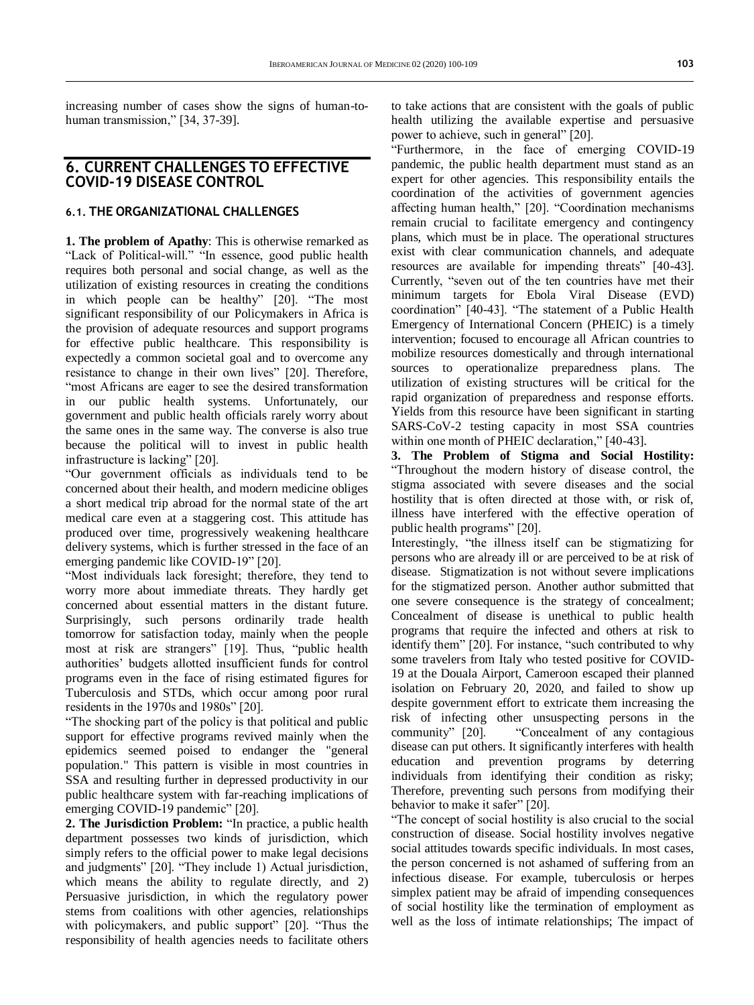increasing number of cases show the signs of human-tohuman transmission," [34, 37-39].

#### **6. CURRENT CHALLENGES TO EFFECTIVE COVID-19 DISEASE CONTROL**

#### **6.1. THE ORGANIZATIONAL CHALLENGES**

**1. The problem of Apathy**: This is otherwise remarked as "Lack of Political-will." "In essence, good public health requires both personal and social change, as well as the utilization of existing resources in creating the conditions in which people can be healthy" [20]. "The most significant responsibility of our Policymakers in Africa is the provision of adequate resources and support programs for effective public healthcare. This responsibility is expectedly a common societal goal and to overcome any resistance to change in their own lives" [20]. Therefore, "most Africans are eager to see the desired transformation in our public health systems. Unfortunately, our government and public health officials rarely worry about the same ones in the same way. The converse is also true because the political will to invest in public health infrastructure is lacking" [20].

"Our government officials as individuals tend to be concerned about their health, and modern medicine obliges a short medical trip abroad for the normal state of the art medical care even at a staggering cost. This attitude has produced over time, progressively weakening healthcare delivery systems, which is further stressed in the face of an emerging pandemic like COVID-19" [20].

"Most individuals lack foresight; therefore, they tend to worry more about immediate threats. They hardly get concerned about essential matters in the distant future. Surprisingly, such persons ordinarily trade health tomorrow for satisfaction today, mainly when the people most at risk are strangers" [19]. Thus, "public health authorities' budgets allotted insufficient funds for control programs even in the face of rising estimated figures for Tuberculosis and STDs, which occur among poor rural residents in the 1970s and 1980s" [20].

"The shocking part of the policy is that political and public support for effective programs revived mainly when the epidemics seemed poised to endanger the "general population." This pattern is visible in most countries in SSA and resulting further in depressed productivity in our public healthcare system with far-reaching implications of emerging COVID-19 pandemic" [20].

**2. The Jurisdiction Problem:** "In practice, a public health department possesses two kinds of jurisdiction, which simply refers to the official power to make legal decisions and judgments" [20]. "They include 1) Actual jurisdiction, which means the ability to regulate directly, and 2) Persuasive jurisdiction, in which the regulatory power stems from coalitions with other agencies, relationships with policymakers, and public support" [20]. "Thus the responsibility of health agencies needs to facilitate others

to take actions that are consistent with the goals of public health utilizing the available expertise and persuasive power to achieve, such in general" [20].

"Furthermore, in the face of emerging COVID-19 pandemic, the public health department must stand as an expert for other agencies. This responsibility entails the coordination of the activities of government agencies affecting human health," [20]. "Coordination mechanisms remain crucial to facilitate emergency and contingency plans, which must be in place. The operational structures exist with clear communication channels, and adequate resources are available for impending threats" [40-43]. Currently, "seven out of the ten countries have met their minimum targets for Ebola Viral Disease (EVD) coordination" [40-43]. "The statement of a Public Health Emergency of International Concern (PHEIC) is a timely intervention; focused to encourage all African countries to mobilize resources domestically and through international sources to operationalize preparedness plans. The utilization of existing structures will be critical for the rapid organization of preparedness and response efforts. Yields from this resource have been significant in starting SARS-CoV-2 testing capacity in most SSA countries within one month of PHEIC declaration," [40-43].

**3. The Problem of Stigma and Social Hostility:** "Throughout the modern history of disease control, the stigma associated with severe diseases and the social hostility that is often directed at those with, or risk of, illness have interfered with the effective operation of public health programs" [20].

Interestingly, "the illness itself can be stigmatizing for persons who are already ill or are perceived to be at risk of disease. Stigmatization is not without severe implications for the stigmatized person. Another author submitted that one severe consequence is the strategy of concealment; Concealment of disease is unethical to public health programs that require the infected and others at risk to identify them" [20]. For instance, "such contributed to why some travelers from Italy who tested positive for COVID-19 at the Douala Airport, Cameroon escaped their planned isolation on February 20, 2020, and failed to show up despite government effort to extricate them increasing the risk of infecting other unsuspecting persons in the community" [20]. "Concealment of any contagious disease can put others. It significantly interferes with health education and prevention programs by deterring individuals from identifying their condition as risky; Therefore, preventing such persons from modifying their behavior to make it safer" [20].

"The concept of social hostility is also crucial to the social construction of disease. Social hostility involves negative social attitudes towards specific individuals. In most cases, the person concerned is not ashamed of suffering from an infectious disease. For example, tuberculosis or herpes simplex patient may be afraid of impending consequences of social hostility like the termination of employment as well as the loss of intimate relationships; The impact of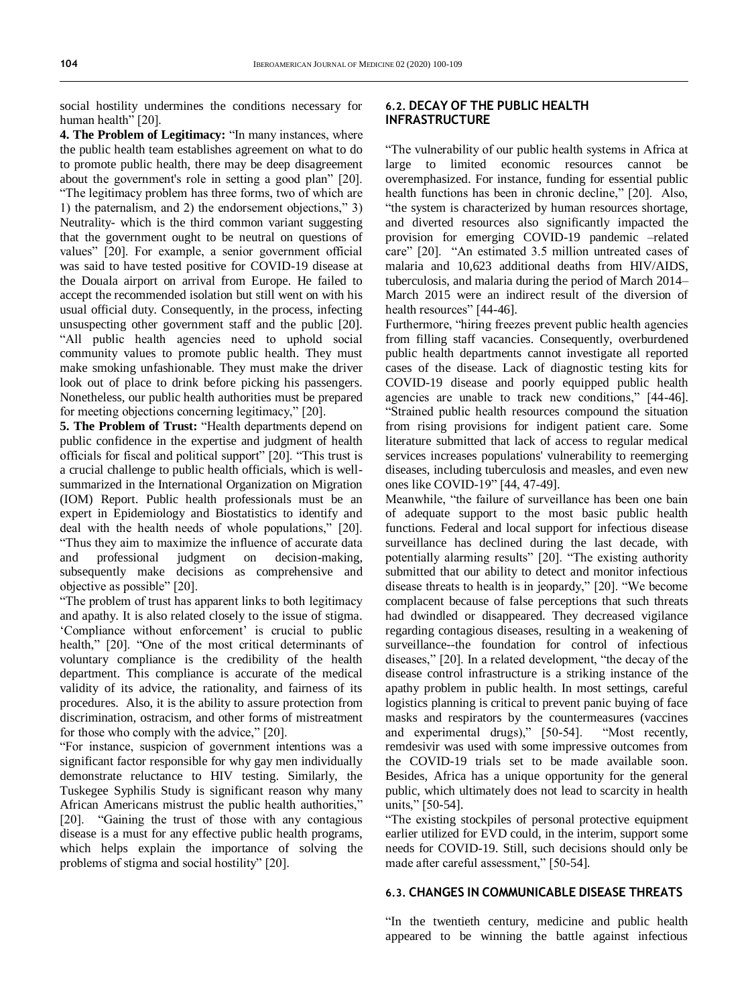social hostility undermines the conditions necessary for human health" [20].

**4. The Problem of Legitimacy:** "In many instances, where the public health team establishes agreement on what to do to promote public health, there may be deep disagreement about the government's role in setting a good plan" [20]. "The legitimacy problem has three forms, two of which are 1) the paternalism, and 2) the endorsement objections," 3) Neutrality- which is the third common variant suggesting that the government ought to be neutral on questions of values" [20]. For example, a senior government official was said to have tested positive for COVID-19 disease at the Douala airport on arrival from Europe. He failed to accept the recommended isolation but still went on with his usual official duty. Consequently, in the process, infecting unsuspecting other government staff and the public [20]. "All public health agencies need to uphold social community values to promote public health. They must make smoking unfashionable. They must make the driver look out of place to drink before picking his passengers. Nonetheless, our public health authorities must be prepared for meeting objections concerning legitimacy," [20].

**5. The Problem of Trust:** "Health departments depend on public confidence in the expertise and judgment of health officials for fiscal and political support" [20]. "This trust is a crucial challenge to public health officials, which is wellsummarized in the International Organization on Migration (IOM) Report. Public health professionals must be an expert in Epidemiology and Biostatistics to identify and deal with the health needs of whole populations," [20]. "Thus they aim to maximize the influence of accurate data and professional judgment on decision-making, subsequently make decisions as comprehensive and objective as possible" [20].

"The problem of trust has apparent links to both legitimacy and apathy. It is also related closely to the issue of stigma. 'Compliance without enforcement' is crucial to public health," [20]. "One of the most critical determinants of voluntary compliance is the credibility of the health department. This compliance is accurate of the medical validity of its advice, the rationality, and fairness of its procedures. Also, it is the ability to assure protection from discrimination, ostracism, and other forms of mistreatment for those who comply with the advice," [20].

"For instance, suspicion of government intentions was a significant factor responsible for why gay men individually demonstrate reluctance to HIV testing. Similarly, the Tuskegee Syphilis Study is significant reason why many African Americans mistrust the public health authorities," [20]. "Gaining the trust of those with any contagious disease is a must for any effective public health programs, which helps explain the importance of solving the problems of stigma and social hostility" [20].

#### **6.2. DECAY OF THE PUBLIC HEALTH INFRASTRUCTURE**

"The vulnerability of our public health systems in Africa at large to limited economic resources cannot be overemphasized. For instance, funding for essential public health functions has been in chronic decline," [20]. Also, "the system is characterized by human resources shortage, and diverted resources also significantly impacted the provision for emerging COVID-19 pandemic –related care" [20]. "An estimated 3.5 million untreated cases of malaria and 10,623 additional deaths from HIV/AIDS, tuberculosis, and malaria during the period of March 2014– March 2015 were an indirect result of the diversion of health resources" [44-46].

Furthermore, "hiring freezes prevent public health agencies from filling staff vacancies. Consequently, overburdened public health departments cannot investigate all reported cases of the disease. Lack of diagnostic testing kits for COVID-19 disease and poorly equipped public health agencies are unable to track new conditions," [44-46]. "Strained public health resources compound the situation from rising provisions for indigent patient care. Some literature submitted that lack of access to regular medical services increases populations' vulnerability to reemerging diseases, including tuberculosis and measles, and even new ones like COVID-19" [44, 47-49].

Meanwhile, "the failure of surveillance has been one bain of adequate support to the most basic public health functions. Federal and local support for infectious disease surveillance has declined during the last decade, with potentially alarming results" [20]. "The existing authority submitted that our ability to detect and monitor infectious disease threats to health is in jeopardy," [20]. "We become complacent because of false perceptions that such threats had dwindled or disappeared. They decreased vigilance regarding contagious diseases, resulting in a weakening of surveillance--the foundation for control of infectious diseases," [20]. In a related development, "the decay of the disease control infrastructure is a striking instance of the apathy problem in public health. In most settings, careful logistics planning is critical to prevent panic buying of face masks and respirators by the countermeasures (vaccines and experimental drugs)," [50-54]. "Most recently, remdesivir was used with some impressive outcomes from the COVID-19 trials set to be made available soon. Besides, Africa has a unique opportunity for the general public, which ultimately does not lead to scarcity in health units," [50-54].

"The existing stockpiles of personal protective equipment earlier utilized for EVD could, in the interim, support some needs for COVID-19. Still, such decisions should only be made after careful assessment," [50-54].

#### **6.3. CHANGES IN COMMUNICABLE DISEASE THREATS**

"In the twentieth century, medicine and public health appeared to be winning the battle against infectious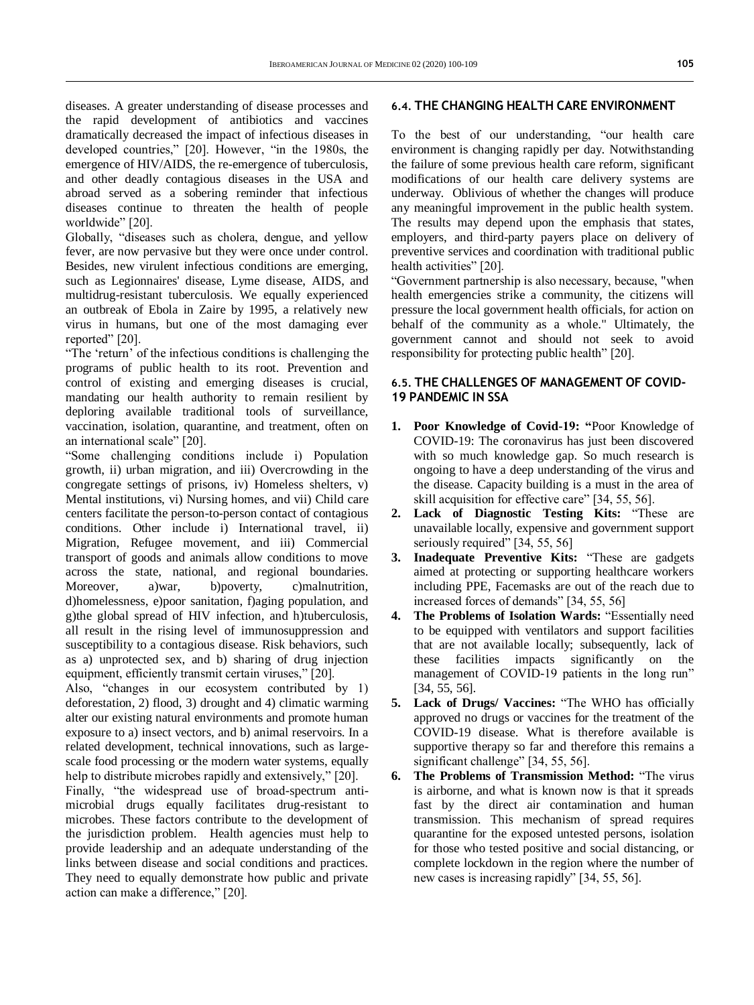diseases. A greater understanding of disease processes and the rapid development of antibiotics and vaccines dramatically decreased the impact of infectious diseases in developed countries," [20]. However, "in the 1980s, the emergence of HIV/AIDS, the re-emergence of tuberculosis, and other deadly contagious diseases in the USA and abroad served as a sobering reminder that infectious diseases continue to threaten the health of people worldwide" [20].

Globally, "diseases such as cholera, dengue, and yellow fever, are now pervasive but they were once under control. Besides, new virulent infectious conditions are emerging, such as Legionnaires' disease, Lyme disease, AIDS, and multidrug-resistant tuberculosis. We equally experienced an outbreak of Ebola in Zaire by 1995, a relatively new virus in humans, but one of the most damaging ever reported" [20].

"The 'return' of the infectious conditions is challenging the programs of public health to its root. Prevention and control of existing and emerging diseases is crucial, mandating our health authority to remain resilient by deploring available traditional tools of surveillance, vaccination, isolation, quarantine, and treatment, often on an international scale" [20].

"Some challenging conditions include i) Population growth, ii) urban migration, and iii) Overcrowding in the congregate settings of prisons, iv) Homeless shelters, v) Mental institutions, vi) Nursing homes, and vii) Child care centers facilitate the person-to-person contact of contagious conditions. Other include i) International travel, ii) Migration, Refugee movement, and iii) Commercial transport of goods and animals allow conditions to move across the state, national, and regional boundaries. Moreover, a)war, b)poverty, c)malnutrition, d)homelessness, e)poor sanitation, f)aging population, and g)the global spread of HIV infection, and h)tuberculosis, all result in the rising level of immunosuppression and susceptibility to a contagious disease. Risk behaviors, such as a) unprotected sex, and b) sharing of drug injection equipment, efficiently transmit certain viruses," [20].

Also, "changes in our ecosystem contributed by 1) deforestation, 2) flood, 3) drought and 4) climatic warming alter our existing natural environments and promote human exposure to a) insect vectors, and b) animal reservoirs. In a related development, technical innovations, such as largescale food processing or the modern water systems, equally help to distribute microbes rapidly and extensively," [20].

Finally, "the widespread use of broad-spectrum antimicrobial drugs equally facilitates drug-resistant to microbes. These factors contribute to the development of the jurisdiction problem. Health agencies must help to provide leadership and an adequate understanding of the links between disease and social conditions and practices. They need to equally demonstrate how public and private action can make a difference," [20].

#### **6.4. THE CHANGING HEALTH CARE ENVIRONMENT**

To the best of our understanding, "our health care environment is changing rapidly per day. Notwithstanding the failure of some previous health care reform, significant modifications of our health care delivery systems are underway. Oblivious of whether the changes will produce any meaningful improvement in the public health system. The results may depend upon the emphasis that states, employers, and third-party payers place on delivery of preventive services and coordination with traditional public health activities" [20].

"Government partnership is also necessary, because, "when health emergencies strike a community, the citizens will pressure the local government health officials, for action on behalf of the community as a whole." Ultimately, the government cannot and should not seek to avoid responsibility for protecting public health" [20].

#### **6.5. THE CHALLENGES OF MANAGEMENT OF COVID-19 PANDEMIC IN SSA**

- **1. Poor Knowledge of Covid-19: "**Poor Knowledge of COVID-19: The coronavirus has just been discovered with so much knowledge gap. So much research is ongoing to have a deep understanding of the virus and the disease. Capacity building is a must in the area of skill acquisition for effective care" [34, 55, 56].
- **2. Lack of Diagnostic Testing Kits:** "These are unavailable locally, expensive and government support seriously required" [34, 55, 56]
- **3. Inadequate Preventive Kits:** "These are gadgets aimed at protecting or supporting healthcare workers including PPE, Facemasks are out of the reach due to increased forces of demands" [34, 55, 56]
- **4. The Problems of Isolation Wards:** "Essentially need to be equipped with ventilators and support facilities that are not available locally; subsequently, lack of these facilities impacts significantly on the management of COVID-19 patients in the long run" [34, 55, 56].
- **5. Lack of Drugs/ Vaccines:** "The WHO has officially approved no drugs or vaccines for the treatment of the COVID-19 disease. What is therefore available is supportive therapy so far and therefore this remains a significant challenge" [34, 55, 56].
- **6. The Problems of Transmission Method:** "The virus is airborne, and what is known now is that it spreads fast by the direct air contamination and human transmission. This mechanism of spread requires quarantine for the exposed untested persons, isolation for those who tested positive and social distancing, or complete lockdown in the region where the number of new cases is increasing rapidly" [34, 55, 56].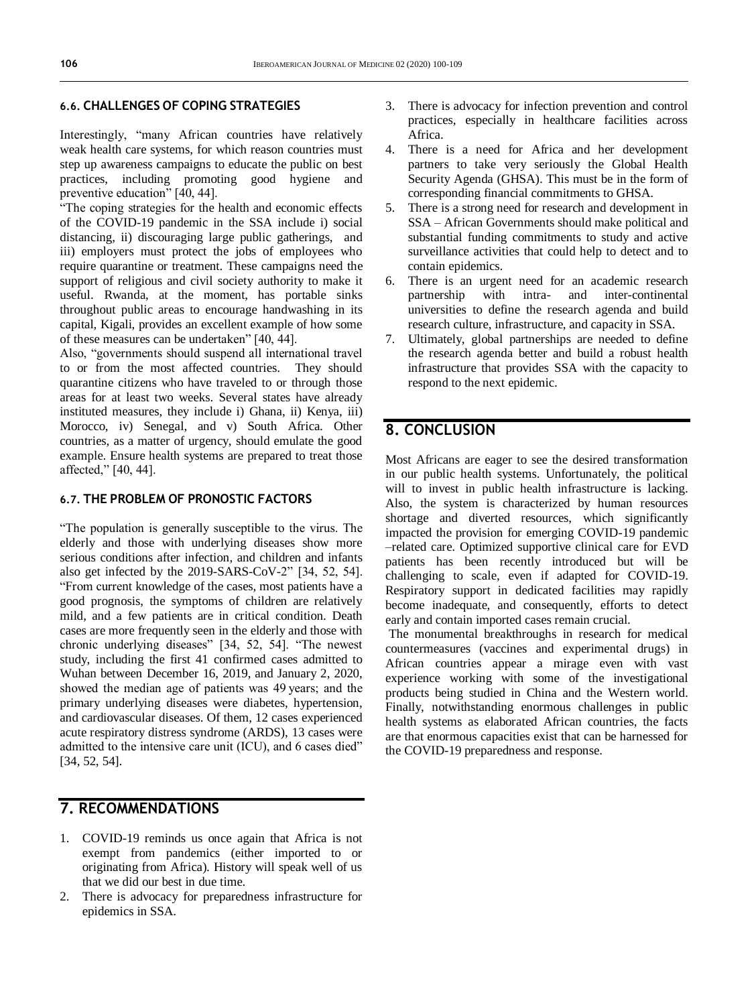#### **6.6. CHALLENGES OF COPING STRATEGIES**

Interestingly, "many African countries have relatively weak health care systems, for which reason countries must step up awareness campaigns to educate the public on best practices, including promoting good hygiene and preventive education"  $[40, 44]$ .

"The coping strategies for the health and economic effects of the COVID-19 pandemic in the SSA include i) social distancing, ii) discouraging large public gatherings, and iii) employers must protect the jobs of employees who require quarantine or treatment. These campaigns need the support of religious and civil society authority to make it useful. Rwanda, at the moment, has portable sinks throughout public areas to encourage handwashing in its capital, Kigali, provides an excellent example of how some of these measures can be undertaken" [40, 44].

Also, "governments should suspend all international travel to or from the most affected countries. They should quarantine citizens who have traveled to or through those areas for at least two weeks. Several states have already instituted measures, they include i) Ghana, ii) Kenya, iii) Morocco, iv) Senegal, and v) South Africa. Other countries, as a matter of urgency, should emulate the good example. Ensure health systems are prepared to treat those affected," [40, 44].

#### **6.7. THE PROBLEM OF PRONOSTIC FACTORS**

"The population is generally susceptible to the virus. The elderly and those with underlying diseases show more serious conditions after infection, and children and infants also get infected by the 2019-SARS-CoV-2" [34, 52, 54]. "From current knowledge of the cases, most patients have a good prognosis, the symptoms of children are relatively mild, and a few patients are in critical condition. Death cases are more frequently seen in the elderly and those with chronic underlying diseases" [34, 52, 54]. "The newest study, including the first 41 confirmed cases admitted to Wuhan between December 16, 2019, and January 2, 2020, showed the median age of patients was 49 years; and the primary underlying diseases were diabetes, hypertension, and cardiovascular diseases. Of them, 12 cases experienced acute respiratory distress syndrome (ARDS), 13 cases were admitted to the intensive care unit (ICU), and 6 cases died" [34, 52, 54].

# **7. RECOMMENDATIONS**

- 1. COVID-19 reminds us once again that Africa is not exempt from pandemics (either imported to or originating from Africa). History will speak well of us that we did our best in due time.
- 2. There is advocacy for preparedness infrastructure for epidemics in SSA.
- 3. There is advocacy for infection prevention and control practices, especially in healthcare facilities across Africa.
- 4. There is a need for Africa and her development partners to take very seriously the Global Health Security Agenda (GHSA). This must be in the form of corresponding financial commitments to GHSA.
- 5. There is a strong need for research and development in SSA – African Governments should make political and substantial funding commitments to study and active surveillance activities that could help to detect and to contain epidemics.
- 6. There is an urgent need for an academic research partnership with intra- and inter-continental universities to define the research agenda and build research culture, infrastructure, and capacity in SSA.
- 7. Ultimately, global partnerships are needed to define the research agenda better and build a robust health infrastructure that provides SSA with the capacity to respond to the next epidemic.

## **8. CONCLUSION**

Most Africans are eager to see the desired transformation in our public health systems. Unfortunately, the political will to invest in public health infrastructure is lacking. Also, the system is characterized by human resources shortage and diverted resources, which significantly impacted the provision for emerging COVID-19 pandemic –related care. Optimized supportive clinical care for EVD patients has been recently introduced but will be challenging to scale, even if adapted for COVID-19. Respiratory support in dedicated facilities may rapidly become inadequate, and consequently, efforts to detect early and contain imported cases remain crucial.

The monumental breakthroughs in research for medical countermeasures (vaccines and experimental drugs) in African countries appear a mirage even with vast experience working with some of the investigational products being studied in China and the Western world. Finally, notwithstanding enormous challenges in public health systems as elaborated African countries, the facts are that enormous capacities exist that can be harnessed for the COVID-19 preparedness and response.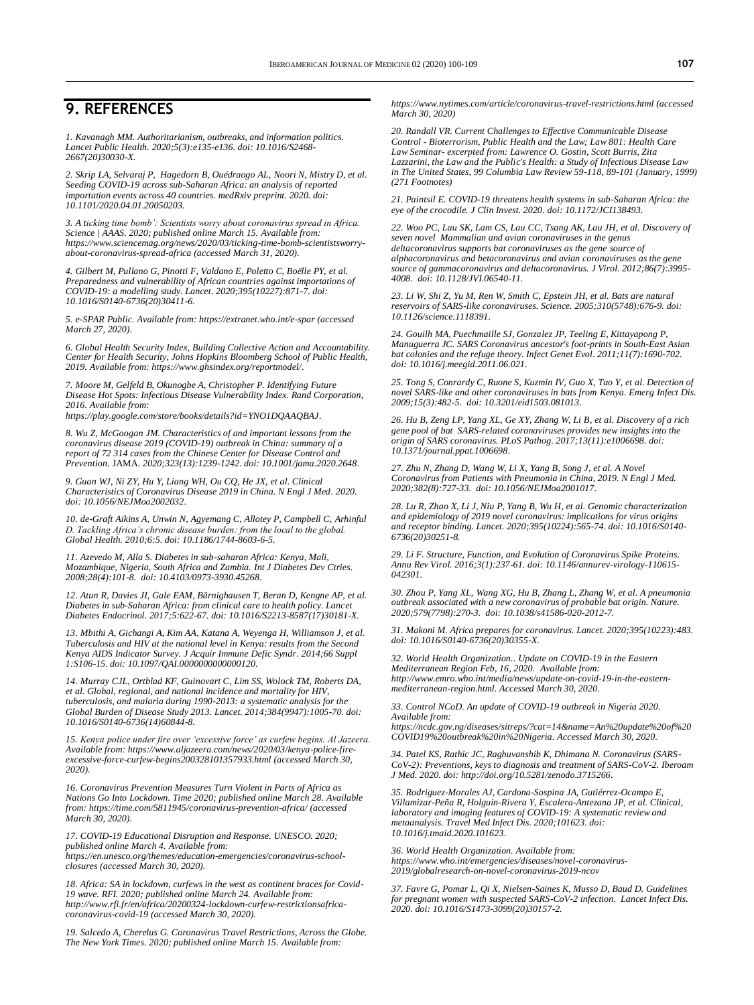### **9. REFERENCES**

*1. Kavanagh MM. Authoritarianism, outbreaks, and information politics. Lancet Public Health. 2020;5(3):e135-e136. doi[: 10.1016/S2468-](https://doi.org/10.1016/S2468-2667(20)30030-X) [2667\(20\)30030-X.](https://doi.org/10.1016/S2468-2667(20)30030-X)* 

*2. Skrip LA, Selvaraj P, Hagedorn B, Ouédraogo AL, Noori N, Mistry D, et al. Seeding COVID-19 across sub-Saharan Africa: an analysis of reported importation events across 40 countries. medRxiv preprint. 2020. doi: [10.1101/2020.04.01.20050203.](https://doi.org/10.1101/2020.04.01.20050203)*

*3. A ticking time bomb': Scientists worry about coronavirus spread in Africa. Science | AAAS. 2020; published online March 15. Available from: [https://www.sciencemag.org/news/2020/03/ticking-time-bomb-scientistsworry](https://www.sciencemag.org/news/2020/03/ticking-time-bomb-scientistsworry-about-coronavirus-spread-africa)[about-coronavirus-spread-africa](https://www.sciencemag.org/news/2020/03/ticking-time-bomb-scientistsworry-about-coronavirus-spread-africa) (accessed March 31, 2020).*

*4. Gilbert M, Pullano G, Pinotti F, Valdano E, Poletto C, Boëlle PY, et al. Preparedness and vulnerability of African countries against importations of COVID-19: a modelling study. Lancet. 2020;395(10227):871-7. doi: [10.1016/S0140-6736\(20\)30411-6.](https://doi.org/10.1016/S0140-6736(20)30411-6)*

*5. e-SPAR Public. Available from[: https://extranet.who.int/e-spar](https://extranet.who.int/e-spar) (accessed March 27, 2020).* 

*6. Global Health Security Index, Building Collective Action and Accountability. Center for Health Security, Johns Hopkins Bloomberg School of Public Health, 2019. Available from: [https://www.ghsindex.org/reportmodel/.](https://www.ghsindex.org/reportmodel/)* 

*7. Moore M, Gelfeld B, Okunogbe A, Christopher P. Identifying Future Disease Hot Spots: Infectious Disease Vulnerability Index. Rand Corporation, 2016. Available from: [https://play.google.com/store/books/details?id=YNO1DQAAQBAJ.](https://play.google.com/store/books/details?id=YNO1DQAAQBAJ)* 

*8. Wu Z, McGoogan JM. Characteristics of and important lessons from the coronavirus disease 2019 (COVID-19) outbreak in China: summary of a report of 72 314 cases from the Chinese Center for Disease Control and Prevention.* JAMA. *2020;323(13):1239-1242. doi[: 10.1001/jama.2020.2648.](https://jamanetwork.com/journals/jama/fullarticle/2762130)* 

*9. Guan WJ, Ni ZY, Hu Y, Liang WH, Ou CQ, He JX, et al. Clinical Characteristics of Coronavirus Disease 2019 in China. N Engl J Med. 2020. doi[: 10.1056/NEJMoa2002032.](https://doi.org/10.1056/NEJMoa2002032)* 

*10. de-Graft Aikins A, Unwin N, Agyemang C, Allotey P, Campbell C, Arhinful D. Tackling Africa's chronic disease burden: from the local to the global. Global Health. 2010;6:5. doi[: 10.1186/1744-8603-6-5.](https://doi.org/10.1186/1744-8603-6-5)*

*11. Azevedo M, Alla S. Diabetes in sub-saharan Africa: Kenya, Mali, Mozambique, Nigeria, South Africa and Zambia. Int J Diabetes Dev Ctries. 2008;28(4):101-8. doi[: 10.4103/0973-3930.45268.](https://doi.org/10.4103/0973-3930.45268)*

*12. Atun R, Davies JI, Gale EAM, Bärnighausen T, Beran D, Kengne AP, et al. Diabetes in sub-Saharan Africa: from clinical care to health policy. Lancet Diabetes Endocrinol. 2017;5:622-67. doi[: 10.1016/S2213-8587\(17\)30181-X.](https://doi.org/10.1016/S2213-8587(17)30181-X)*

*13. Mbithi A, Gichangi A, Kim AA, Katana A, Weyenga H, Williamson J, et al. Tuberculosis and HIV at the national level in Kenya: results from the Second Kenya AIDS Indicator Survey. J Acquir Immune Defic Syndr. 2014;66 Suppl 1:S106-15. doi[: 10.1097/QAI.0000000000000120.](https://doi.org/10.1097/QAI.0000000000000120)*

*14. Murray CJL, Ortblad KF, Guinovart C, Lim SS, Wolock TM, Roberts DA, et al. Global, regional, and national incidence and mortality for HIV, tuberculosis, and malaria during 1990-2013: a systematic analysis for the Global Burden of Disease Study 2013. Lancet. 2014;384(9947):1005-70. doi: [10.1016/S0140-6736\(14\)60844-8.](https://doi.org/10.1016/S0140-6736(14)60844-8)*

*15. Kenya police under fire over 'excessive force' as curfew begins. Al Jazeera. Available from[: https://www.aljazeera.com/news/2020/03/kenya-police-fire](https://www.aljazeera.com/news/2020/03/kenya-police-fire-excessive-force-curfew-begins200328101357933.html)[excessive-force-curfew-begins200328101357933.html](https://www.aljazeera.com/news/2020/03/kenya-police-fire-excessive-force-curfew-begins200328101357933.html) (accessed March 30, 2020).* 

*16. Coronavirus Prevention Measures Turn Violent in Parts of Africa as Nations Go Into Lockdown. Time 2020; published online March 28. Available from[: https://time.com/5811945/coronavirus-prevention-africa/](https://time.com/5811945/coronavirus-prevention-africa/) (accessed March 30, 2020).* 

*17. COVID-19 Educational Disruption and Response. UNESCO. 2020; published online March 4. Available from:* 

*[https://en.unesco.org/themes/education-emergencies/coronavirus-school](https://en.unesco.org/themes/education-emergencies/coronavirus-school-closures)[closures](https://en.unesco.org/themes/education-emergencies/coronavirus-school-closures) (accessed March 30, 2020).* 

*18. Africa: SA in lockdown, curfews in the west as continent braces for Covid-19 wave. RFI. 2020; published online March 24. Available from: [http://www.rfi.fr/en/africa/20200324-lockdown-curfew-restrictionsafrica](http://www.rfi.fr/en/africa/20200324-lockdown-curfew-restrictionsafrica-coronavirus-covid-19)[coronavirus-covid-19](http://www.rfi.fr/en/africa/20200324-lockdown-curfew-restrictionsafrica-coronavirus-covid-19) (accessed March 30, 2020).* 

*19. Salcedo A, Cherelus G. Coronavirus Travel Restrictions, Across the Globe. The New York Times. 2020; published online March 15. Available from:* 

*<https://www.nytimes.com/article/coronavirus-travel-restrictions.html> (accessed March 30, 2020)*

*20. Randall VR. Current Challenges to Effective Communicable Disease Control - Bioterrorism, Public Health and the Law; Law 801: Health Care Law Seminar- excerpted from: Lawrence O. Gostin, Scott Burris, Zita Lazzarini, the Law and the Public's Health: a Study of Infectious Disease Law in The United States, 99 Columbia Law Review 59-118, 89-101 (January, 1999) (271 Footnotes)*

*21. Paintsil E. COVID-19 threatens health systems in sub-Saharan Africa: the eye of the crocodile. J Clin Invest. 2020. doi[: 10.1172/JCI138493.](https://doi.org/10.1172/JCI138493)* 

*22. Woo PC, Lau SK, Lam CS, Lau CC, Tsang AK, Lau JH, et al. Discovery of seven novel Mammalian and avian coronaviruses in the genus deltacoronavirus supports bat coronaviruses as the gene source of alphacoronavirus and betacoronavirus and avian coronaviruses as the gene source of gammacoronavirus and deltacoronavirus. J Virol. 2012;86(7):3995- 4008. doi[: 10.1128/JVI.06540-11.](https://doi.org/10.1128/JVI.06540-11)*

*23. Li W, Shi Z, Yu M, Ren W, Smith C, Epstein JH, et al. Bats are natural reservoirs of SARS-like coronaviruses. Science. 2005;310(5748):676-9. doi: [10.1126/science.1118391.](https://doi.org/10.1126/science.1118391)*

*24. Gouilh MA, Puechmaille SJ, Gonzalez JP, Teeling E, Kittayapong P, Manuguerra JC. SARS Coronavirus ancestor's foot-prints in South-East Asian bat colonies and the refuge theory. Infect Genet Evol. 2011;11(7):1690-702. doi[: 10.1016/j.meegid.2011.06.021.](https://doi.org/10.1016/j.meegid.2011.06.021)*

*25. Tong S, Conrardy C, Ruone S, Kuzmin IV, Guo X, Tao Y, et al. Detection of novel SARS-like and other coronaviruses in bats from Kenya. Emerg Infect Dis. 2009;15(3):482-5. doi[: 10.3201/eid1503.081013.](https://doi.org/10.3201/eid1503.081013)*

*26. Hu B, Zeng LP, Yang XL, Ge XY, Zhang W, Li B, et al. Discovery of a rich gene pool of bat SARS-related coronaviruses provides new insights into the origin of SARS coronavirus. PLoS Pathog. 2017;13(11):e1006698. doi: [10.1371/journal.ppat.1006698.](https://doi.org/10.1371/journal.ppat.1006698)*

*27. Zhu N, Zhang D, Wang W, Li X, Yang B, Song J, et al. A Novel Coronavirus from Patients with Pneumonia in China, 2019. N Engl J Med. 2020;382(8):727-33. doi[: 10.1056/NEJMoa2001017.](https://doi.org/10.1056/NEJMoa2001017)*

*28. Lu R, Zhao X, Li J, Niu P, Yang B, Wu H, et al. Genomic characterization and epidemiology of 2019 novel coronavirus: implications for virus origins and receptor binding. Lancet. 2020;395(10224):565-74. doi[: 10.1016/S0140-](https://doi.org/10.1016/S0140-6736(20)30251-8) [6736\(20\)30251-8.](https://doi.org/10.1016/S0140-6736(20)30251-8)*

*29. Li F. Structure, Function, and Evolution of Coronavirus Spike Proteins. Annu Rev Virol. 2016;3(1):237-61. doi[: 10.1146/annurev-virology-110615-](https://doi.org/10.1146/annurev-virology-110615-042301) [042301.](https://doi.org/10.1146/annurev-virology-110615-042301)*

*30. Zhou P, Yang XL, Wang XG, Hu B, Zhang L, Zhang W, et al. A pneumonia outbreak associated with a new coronavirus of probable bat origin. Nature. 2020;579(7798):270-3. doi[: 10.1038/s41586-020-2012-7.](https://doi.org/10.1038/s41586-020-2012-7)*

*31. Makoni M. Africa prepares for coronavirus. Lancet. 2020;395(10223):483. doi[: 10.1016/S0140-6736\(20\)30355-X.](https://doi.org/10.1016/S0140-6736(20)30355-X)*

*32. World Health Organization.. Update on COVID-19 in the Eastern Mediterranean Region Feb, 16, 2020. Available from: [http://www.emro.who.int/media/news/update-on-covid-19-in-the-eastern](http://www.emro.who.int/media/news/update-on-covid-19-in-the-eastern-mediterranean-region.html)[mediterranean-region.html.](http://www.emro.who.int/media/news/update-on-covid-19-in-the-eastern-mediterranean-region.html) Accessed March 30, 2020.*

*33. Control NCoD. An update of COVID-19 outbreak in Nigeria 2020. Available from:* 

*[https://ncdc.gov.ng/diseases/sitreps/?cat=14&name=An%20update%20of%20](https://ncdc.gov.ng/diseases/sitreps/?cat=14&name=An%20update%20of%20COVID19%20outbreak%20in%20Nigeria) [COVID19%20outbreak%20in%20Nigeria.](https://ncdc.gov.ng/diseases/sitreps/?cat=14&name=An%20update%20of%20COVID19%20outbreak%20in%20Nigeria) Accessed March 30, 2020.*

*34. Patel KS, Rathic JC, Raghuvanshib K, Dhimana N. Coronavirus (SARS-CoV-2): Preventions, keys to diagnosis and treatment of SARS-CoV-2. Iberoam J Med. 2020. doi[: http://doi.org/10.5281/zenodo.3715266.](http://doi.org/10.5281/zenodo.3715266)*

*35. Rodriguez-Morales AJ, Cardona-Sospina JA, Gutiérrez-Ocampo E, Villamizar-Peña R, Holguin-Rivera Y, Escalera-Antezana JP, et al. Clinical, laboratory and imaging features of COVID-19: A systematic review and metaanalysis. Travel Med Infect Dis. 2020;101623. doi: [10.1016/j.tmaid.2020.101623.](https://doi.org/10.1016/j.tmaid.2020.101623)* 

*36. World Health Organization. Available from: [https://www.who.int/emergencies/diseases/novel-coronavirus-](https://www.who.int/emergencies/diseases/novel-coronavirus-2019/globalresearch-on-novel-coronavirus-2019-ncov)[2019/globalresearch-on-novel-coronavirus-2019-ncov](https://www.who.int/emergencies/diseases/novel-coronavirus-2019/globalresearch-on-novel-coronavirus-2019-ncov)*

37. Favre G, Pomar L, Qi X, Nielsen-Saines K, Musso D, Baud D. Guidelines *for pregnant women with suspected SARS-CoV-2 infection. Lancet Infect Dis. 2020. doi[: 10.1016/S1473-3099\(20\)30157-2.](https://doi.org/10.1016/S1473-3099(20)30157-2)*